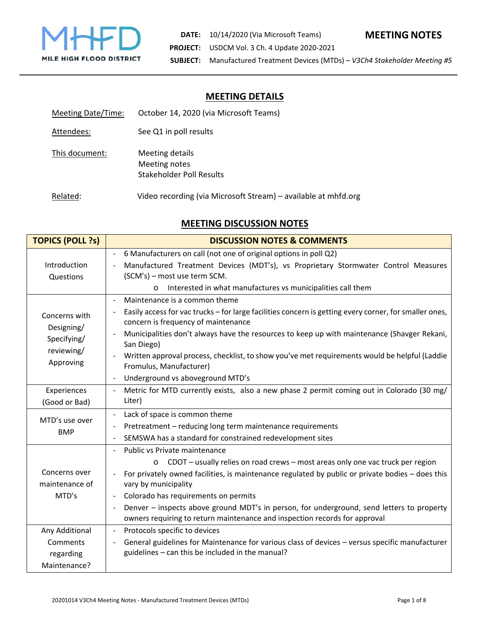

# **MEETING DETAILS**

| <b>Meeting Date/Time:</b> | October 14, 2020 (via Microsoft Teams)                         |
|---------------------------|----------------------------------------------------------------|
| Attendees:                | See Q1 in poll results                                         |
| This document:            | Meeting details<br>Meeting notes<br>Stakeholder Poll Results   |
| Related:                  | Video recording (via Microsoft Stream) – available at mhfd.org |

# **MEETING DISCUSSION NOTES**

| <b>TOPICS (POLL ?s)</b>                                               | <b>DISCUSSION NOTES &amp; COMMENTS</b>                                                                                                                                                                                                                                                                                                                                                                                                                                    |
|-----------------------------------------------------------------------|---------------------------------------------------------------------------------------------------------------------------------------------------------------------------------------------------------------------------------------------------------------------------------------------------------------------------------------------------------------------------------------------------------------------------------------------------------------------------|
| Introduction<br>Questions                                             | 6 Manufacturers on call (not one of original options in poll Q2)<br>Manufactured Treatment Devices (MDT's), vs Proprietary Stormwater Control Measures<br>(SCM's) - most use term SCM.                                                                                                                                                                                                                                                                                    |
|                                                                       | Interested in what manufactures vs municipalities call them<br>$\circ$                                                                                                                                                                                                                                                                                                                                                                                                    |
| Concerns with<br>Designing/<br>Specifying/<br>reviewing/<br>Approving | Maintenance is a common theme<br>Easily access for vac trucks - for large facilities concern is getting every corner, for smaller ones,<br>concern is frequency of maintenance<br>Municipalities don't always have the resources to keep up with maintenance (Shavger Rekani,<br>San Diego)<br>Written approval process, checklist, to show you've met requirements would be helpful (Laddie<br>Fromulus, Manufacturer)<br>Underground vs aboveground MTD's               |
| Experiences<br>(Good or Bad)                                          | Metric for MTD currently exists, also a new phase 2 permit coming out in Colorado (30 mg/<br>Liter)                                                                                                                                                                                                                                                                                                                                                                       |
| MTD's use over<br><b>BMP</b>                                          | Lack of space is common theme<br>Pretreatment - reducing long term maintenance requirements<br>SEMSWA has a standard for constrained redevelopment sites                                                                                                                                                                                                                                                                                                                  |
| Concerns over<br>maintenance of<br>MTD's                              | Public vs Private maintenance<br>CDOT - usually relies on road crews - most areas only one vac truck per region<br>$\circ$<br>For privately owned facilities, is maintenance regulated by public or private bodies - does this<br>vary by municipality<br>Colorado has requirements on permits<br>Denver - inspects above ground MDT's in person, for underground, send letters to property<br>owners requiring to return maintenance and inspection records for approval |
| Any Additional<br>Comments<br>regarding<br>Maintenance?               | Protocols specific to devices<br>$\blacksquare$<br>General guidelines for Maintenance for various class of devices - versus specific manufacturer<br>guidelines - can this be included in the manual?                                                                                                                                                                                                                                                                     |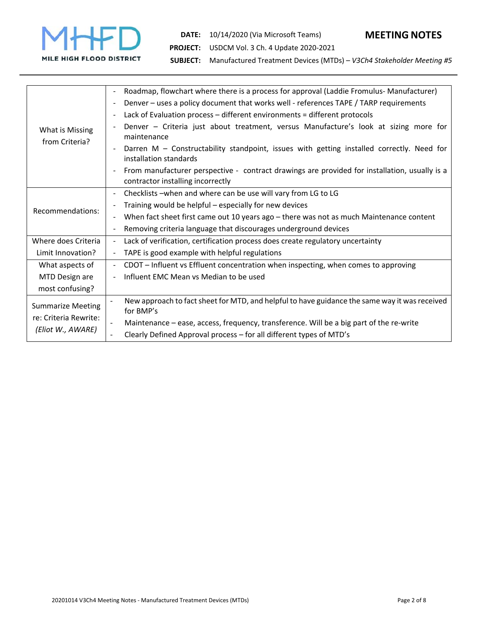

**DATE:**  10/14/2020 (Via Microsoft Teams) **MEETING NOTES**

**PROJECT:**  USDCM Vol. 3 Ch. 4 Update 2020‐2021

**SUBJECT:**  Manufactured Treatment Devices (MTDs) – *V3Ch4 Stakeholder Meeting #5*

| What is Missing<br>from Criteria?                                      | Roadmap, flowchart where there is a process for approval (Laddie Fromulus-Manufacturer)<br>$\blacksquare$                                            |
|------------------------------------------------------------------------|------------------------------------------------------------------------------------------------------------------------------------------------------|
|                                                                        | Denver - uses a policy document that works well - references TAPE / TARP requirements<br>$\blacksquare$                                              |
|                                                                        | Lack of Evaluation process - different environments = different protocols<br>$\overline{\phantom{a}}$                                                |
|                                                                        | Denver - Criteria just about treatment, versus Manufacture's look at sizing more for<br>maintenance                                                  |
|                                                                        | Darren M - Constructability standpoint, issues with getting installed correctly. Need for<br>installation standards                                  |
|                                                                        | From manufacturer perspective - contract drawings are provided for installation, usually is a<br>$\blacksquare$<br>contractor installing incorrectly |
| Recommendations:                                                       | Checklists - when and where can be use will vary from LG to LG                                                                                       |
|                                                                        | Training would be helpful - especially for new devices                                                                                               |
|                                                                        | When fact sheet first came out 10 years ago - there was not as much Maintenance content<br>$\blacksquare$                                            |
|                                                                        | Removing criteria language that discourages underground devices<br>$\blacksquare$                                                                    |
| Where does Criteria                                                    | Lack of verification, certification process does create regulatory uncertainty<br>$\blacksquare$                                                     |
| Limit Innovation?                                                      | TAPE is good example with helpful regulations<br>$\blacksquare$                                                                                      |
| What aspects of                                                        | CDOT - Influent vs Effluent concentration when inspecting, when comes to approving<br>$\blacksquare$                                                 |
| MTD Design are                                                         | Influent EMC Mean vs Median to be used<br>$\blacksquare$                                                                                             |
| most confusing?                                                        |                                                                                                                                                      |
| <b>Summarize Meeting</b><br>re: Criteria Rewrite:<br>(Eliot W., AWARE) | New approach to fact sheet for MTD, and helpful to have guidance the same way it was received<br>for BMP's                                           |
|                                                                        | Maintenance - ease, access, frequency, transference. Will be a big part of the re-write                                                              |
|                                                                        | Clearly Defined Approval process - for all different types of MTD's                                                                                  |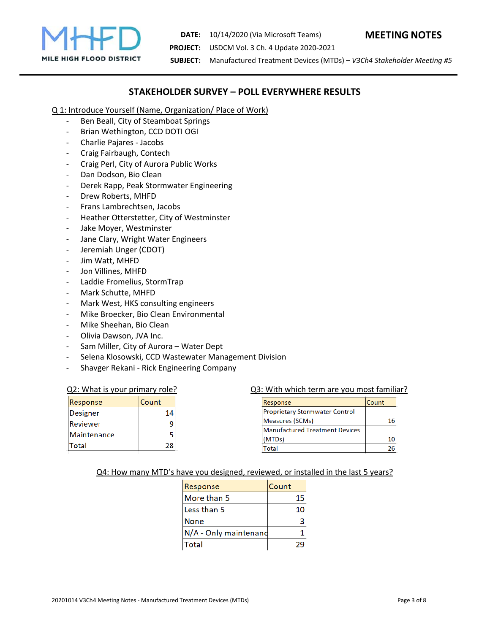

**DATE:**  10/14/2020 (Via Microsoft Teams) **MEETING NOTES**

**PROJECT:**  USDCM Vol. 3 Ch. 4 Update 2020‐2021

**SUBJECT:**  Manufactured Treatment Devices (MTDs) – *V3Ch4 Stakeholder Meeting #5*

# **STAKEHOLDER SURVEY – POLL EVERYWHERE RESULTS**

Q 1: Introduce Yourself (Name, Organization/ Place of Work)

- ‐ Ben Beall, City of Steamboat Springs
- ‐ Brian Wethington, CCD DOTI OGI
- ‐ Charlie Pajares ‐ Jacobs
- ‐ Craig Fairbaugh, Contech
- ‐ Craig Perl, City of Aurora Public Works
- ‐ Dan Dodson, Bio Clean
- ‐ Derek Rapp, Peak Stormwater Engineering
- ‐ Drew Roberts, MHFD
- ‐ Frans Lambrechtsen, Jacobs
- ‐ Heather Otterstetter, City of Westminster
- Jake Moyer, Westminster
- ‐ Jane Clary, Wright Water Engineers
- ‐ Jeremiah Unger (CDOT)
- ‐ Jim Watt, MHFD
- ‐ Jon Villines, MHFD
- ‐ Laddie Fromelius, StormTrap
- ‐ Mark Schutte, MHFD
- ‐ Mark West, HKS consulting engineers
- ‐ Mike Broecker, Bio Clean Environmental
- ‐ Mike Sheehan, Bio Clean
- ‐ Olivia Dawson, JVA Inc.
- Sam Miller, City of Aurora Water Dept
- Selena Klosowski, CCD Wastewater Management Division
- ‐ Shavger Rekani ‐ Rick Engineering Company

| Response        | Count |
|-----------------|-------|
| <b>Designer</b> | 1Δ    |
| Reviewer        |       |
| Maintenance     |       |
| Total           | 28    |

#### Q2: What is your primary role? **Q3: With which term are you most familiar**?

| Response                              | Count |
|---------------------------------------|-------|
| <b>Proprietary Stormwater Control</b> |       |
| Measures (SCMs)                       | 16    |
| <b>Manufactured Treatment Devices</b> |       |
| (MTDs)                                | 10    |
| 'otal                                 |       |

#### Q4: How many MTD's have you designed, reviewed, or installed in the last 5 years?

| Response              | Count |
|-----------------------|-------|
| More than 5           | 15    |
| Less than 5           |       |
| <b>None</b>           |       |
| N/A - Only maintenand |       |
| Total                 |       |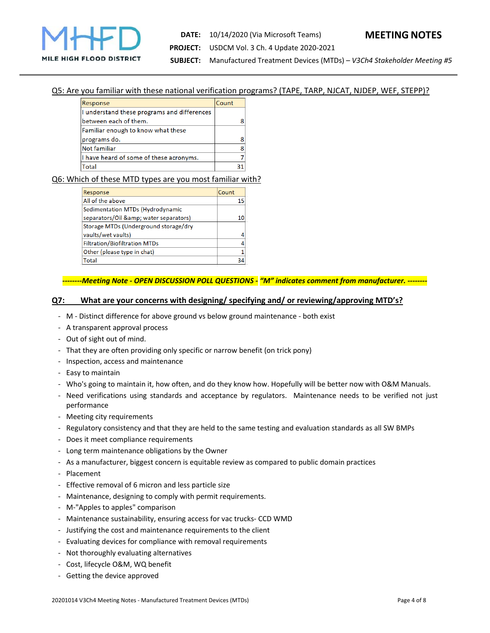

# **DATE:**  10/14/2020 (Via Microsoft Teams) **MEETING NOTES PROJECT:**  USDCM Vol. 3 Ch. 4 Update 2020‐2021

**SUBJECT:**  Manufactured Treatment Devices (MTDs) – *V3Ch4 Stakeholder Meeting #5*

#### Q5: Are you familiar with these national verification programs? (TAPE, TARP, NJCAT, NJDEP, WEF, STEPP)?

| Response                                    | Count |
|---------------------------------------------|-------|
| I understand these programs and differences |       |
| between each of them.                       |       |
| Familiar enough to know what these          |       |
| programs do.                                |       |
| <b>Not familiar</b>                         |       |
| I have heard of some of these acronyms.     |       |
| <b>Total</b>                                | 31    |
|                                             |       |

### Q6: Which of these MTD types are you most familiar with?

| Response                              | Count |
|---------------------------------------|-------|
| All of the above                      | 15    |
| Sedimentation MTDs (Hydrodynamic      |       |
| separators/Oil & water separators)    |       |
| Storage MTDs (Underground storage/dry |       |
| vaults/wet vaults)                    |       |
| <b>Filtration/Biofiltration MTDs</b>  |       |
| Other (please type in chat)           | 1     |
| Total                                 |       |
|                                       |       |

#### *‐‐‐‐‐‐‐‐Meeting Note ‐ OPEN DISCUSSION POLL QUESTIONS ‐ "M" indicates comment from manufacturer. ‐‐‐‐‐‐‐‐*

#### **Q7: What are your concerns with designing/ specifying and/ or reviewing/approving MTD's?**

- ‐ M ‐ Distinct difference for above ground vs below ground maintenance ‐ both exist
- ‐ A transparent approval process
- ‐ Out of sight out of mind.
- ‐ That they are often providing only specific or narrow benefit (on trick pony)
- ‐ Inspection, access and maintenance
- ‐ Easy to maintain
- ‐ Who's going to maintain it, how often, and do they know how. Hopefully will be better now with O&M Manuals.
- ‐ Need verifications using standards and acceptance by regulators. Maintenance needs to be verified not just performance
- ‐ Meeting city requirements
- ‐ Regulatory consistency and that they are held to the same testing and evaluation standards as all SW BMPs
- ‐ Does it meet compliance requirements
- ‐ Long term maintenance obligations by the Owner
- ‐ As a manufacturer, biggest concern is equitable review as compared to public domain practices
- ‐ Placement
- ‐ Effective removal of 6 micron and less particle size
- ‐ Maintenance, designing to comply with permit requirements.
- ‐ M‐"Apples to apples" comparison
- ‐ Maintenance sustainability, ensuring access for vac trucks‐ CCD WMD
- ‐ Justifying the cost and maintenance requirements to the client
- ‐ Evaluating devices for compliance with removal requirements
- ‐ Not thoroughly evaluating alternatives
- ‐ Cost, lifecycle O&M, WQ benefit
- ‐ Getting the device approved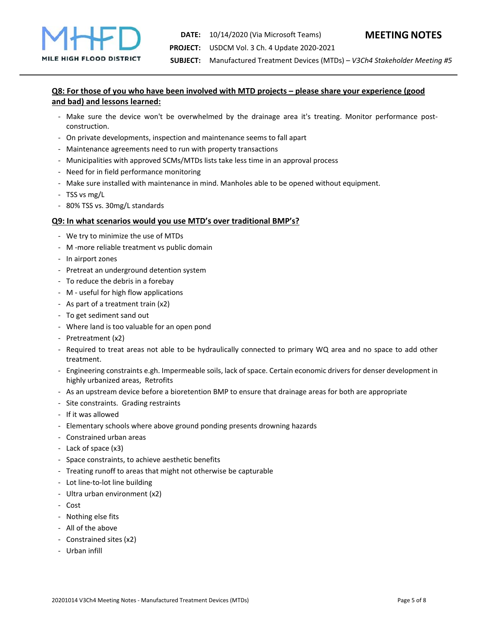**SUBJECT:**  Manufactured Treatment Devices (MTDs) – *V3Ch4 Stakeholder Meeting #5*

# **Q8: For those of you who have been involved with MTD projects – please share your experience (good and bad) and lessons learned:**

- Make sure the device won't be overwhelmed by the drainage area it's treating. Monitor performance postconstruction.
- ‐ On private developments, inspection and maintenance seems to fall apart
- ‐ Maintenance agreements need to run with property transactions
- ‐ Municipalities with approved SCMs/MTDs lists take less time in an approval process
- ‐ Need for in field performance monitoring
- ‐ Make sure installed with maintenance in mind. Manholes able to be opened without equipment.
- ‐ TSS vs mg/L
- ‐ 80% TSS vs. 30mg/L standards

#### **Q9: In what scenarios would you use MTD's over traditional BMP's?**

- ‐ We try to minimize the use of MTDs
- ‐ M ‐more reliable treatment vs public domain
- ‐ In airport zones
- ‐ Pretreat an underground detention system
- ‐ To reduce the debris in a forebay
- ‐ M ‐ useful for high flow applications
- ‐ As part of a treatment train (x2)
- ‐ To get sediment sand out
- ‐ Where land is too valuable for an open pond
- ‐ Pretreatment (x2)
- ‐ Required to treat areas not able to be hydraulically connected to primary WQ area and no space to add other treatment.
- ‐ Engineering constraints e.gh. Impermeable soils, lack of space. Certain economic drivers for denser development in highly urbanized areas, Retrofits
- ‐ As an upstream device before a bioretention BMP to ensure that drainage areas for both are appropriate
- ‐ Site constraints. Grading restraints
- ‐ If it was allowed
- ‐ Elementary schools where above ground ponding presents drowning hazards
- ‐ Constrained urban areas
- ‐ Lack of space (x3)
- ‐ Space constraints, to achieve aesthetic benefits
- ‐ Treating runoff to areas that might not otherwise be capturable
- ‐ Lot line‐to‐lot line building
- ‐ Ultra urban environment (x2)
- ‐ Cost
- ‐ Nothing else fits
- ‐ All of the above
- ‐ Constrained sites (x2)
- ‐ Urban infill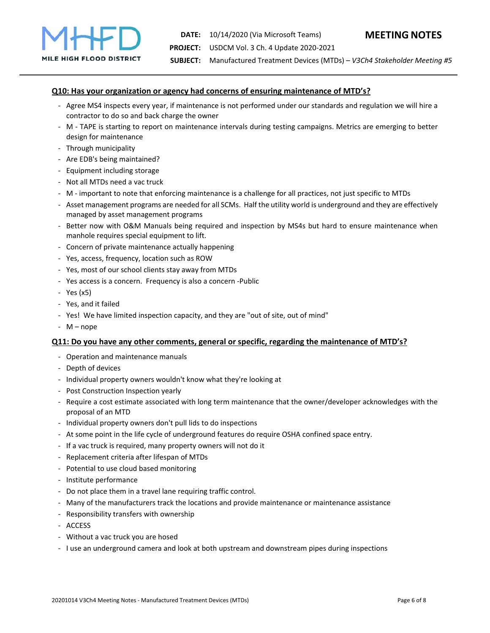# **Q10: Has your organization or agency had concerns of ensuring maintenance of MTD's?**

- ‐ Agree MS4 inspects every year, if maintenance is not performed under our standards and regulation we will hire a contractor to do so and back charge the owner
- ‐ M ‐ TAPE is starting to report on maintenance intervals during testing campaigns. Metrics are emerging to better design for maintenance
- ‐ Through municipality
- ‐ Are EDB's being maintained?
- ‐ Equipment including storage
- ‐ Not all MTDs need a vac truck
- ‐ M ‐ important to note that enforcing maintenance is a challenge for all practices, not just specific to MTDs
- ‐ Asset management programs are needed for all SCMs. Half the utility world is underground and they are effectively managed by asset management programs
- ‐ Better now with O&M Manuals being required and inspection by MS4s but hard to ensure maintenance when manhole requires special equipment to lift.
- ‐ Concern of private maintenance actually happening
- ‐ Yes, access, frequency, location such as ROW
- ‐ Yes, most of our school clients stay away from MTDs
- ‐ Yes access is a concern. Frequency is also a concern ‐Public
- ‐ Yes (x5)
- ‐ Yes, and it failed
- ‐ Yes! We have limited inspection capacity, and they are "out of site, out of mind"
- ‐ M nope

#### **Q11: Do you have any other comments, general or specific, regarding the maintenance of MTD's?**

- ‐ Operation and maintenance manuals
- ‐ Depth of devices
- ‐ Individual property owners wouldn't know what they're looking at
- ‐ Post Construction Inspection yearly
- ‐ Require a cost estimate associated with long term maintenance that the owner/developer acknowledges with the proposal of an MTD
- ‐ Individual property owners don't pull lids to do inspections
- ‐ At some point in the life cycle of underground features do require OSHA confined space entry.
- ‐ If a vac truck is required, many property owners will not do it
- ‐ Replacement criteria after lifespan of MTDs
- ‐ Potential to use cloud based monitoring
- ‐ Institute performance
- ‐ Do not place them in a travel lane requiring traffic control.
- ‐ Many of the manufacturers track the locations and provide maintenance or maintenance assistance
- ‐ Responsibility transfers with ownership
- ‐ ACCESS
- ‐ Without a vac truck you are hosed
- ‐ I use an underground camera and look at both upstream and downstream pipes during inspections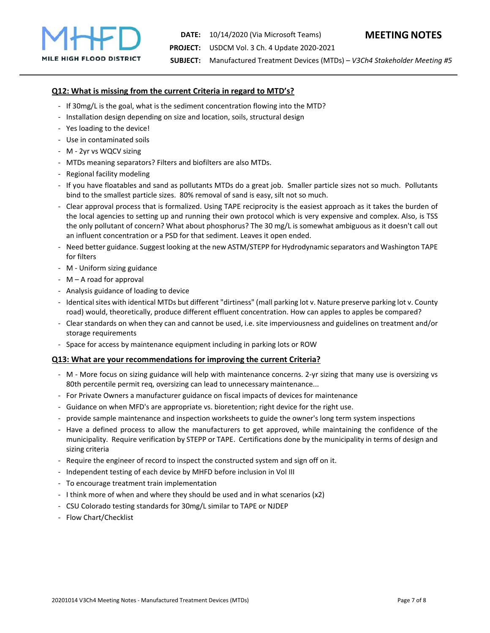# **Q12: What is missing from the current Criteria in regard to MTD's?**

- ‐ If 30mg/L is the goal, what is the sediment concentration flowing into the MTD?
- ‐ Installation design depending on size and location, soils, structural design
- ‐ Yes loading to the device!
- ‐ Use in contaminated soils
- ‐ M ‐ 2yr vs WQCV sizing
- ‐ MTDs meaning separators? Filters and biofilters are also MTDs.
- ‐ Regional facility modeling
- ‐ If you have floatables and sand as pollutants MTDs do a great job. Smaller particle sizes not so much. Pollutants bind to the smallest particle sizes. 80% removal of sand is easy, silt not so much.
- ‐ Clear approval process that is formalized. Using TAPE reciprocity is the easiest approach as it takes the burden of the local agencies to setting up and running their own protocol which is very expensive and complex. Also, is TSS the only pollutant of concern? What about phosphorus? The 30 mg/L is somewhat ambiguous as it doesn't call out an influent concentration or a PSD for that sediment. Leaves it open ended.
- ‐ Need better guidance. Suggest looking at the new ASTM/STEPP for Hydrodynamic separators and Washington TAPE for filters
- ‐ M ‐ Uniform sizing guidance
- ‐ M A road for approval
- ‐ Analysis guidance of loading to device
- ‐ Identical sites with identical MTDs but different "dirtiness" (mall parking lot v. Nature preserve parking lot v. County road) would, theoretically, produce different effluent concentration. How can apples to apples be compared?
- ‐ Clear standards on when they can and cannot be used, i.e. site imperviousness and guidelines on treatment and/or storage requirements
- ‐ Space for access by maintenance equipment including in parking lots or ROW

#### **Q13: What are your recommendations for improving the current Criteria?**

- ‐ M ‐ More focus on sizing guidance will help with maintenance concerns. 2‐yr sizing that many use is oversizing vs 80th percentile permit req, oversizing can lead to unnecessary maintenance...
- ‐ For Private Owners a manufacturer guidance on fiscal impacts of devices for maintenance
- ‐ Guidance on when MFD's are appropriate vs. bioretention; right device for the right use.
- ‐ provide sample maintenance and inspection worksheets to guide the owner's long term system inspections
- ‐ Have a defined process to allow the manufacturers to get approved, while maintaining the confidence of the municipality. Require verification by STEPP or TAPE. Certifications done by the municipality in terms of design and sizing criteria
- ‐ Require the engineer of record to inspect the constructed system and sign off on it.
- ‐ Independent testing of each device by MHFD before inclusion in Vol III
- ‐ To encourage treatment train implementation
- ‐ I think more of when and where they should be used and in what scenarios (x2)
- ‐ CSU Colorado testing standards for 30mg/L similar to TAPE or NJDEP
- ‐ Flow Chart/Checklist